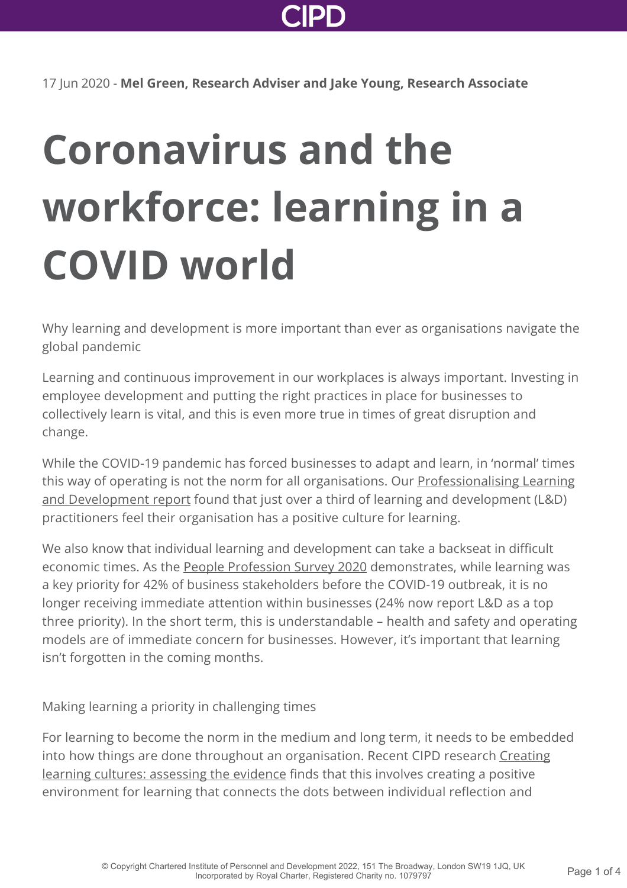

17 Jun 2020 - **Mel Green, Research Adviser and Jake Young, Research Associate**

## **Coronavirus and the workforce: learning in a COVID world**

Why learning and development is more important than ever as organisations navigate the global pandemic

Learning and continuous improvement in our workplaces is always important. Investing in employee development and putting the right practices in place for businesses to collectively learn is vital, and this is even more true in times of great disruption and change.

While the COVID-19 pandemic has forced businesses to adapt and learn, in 'normal' times this way of operating is not the norm for all organisations. Our **Professionalising Learning** and Development report found that just over a third of learning and development (L&D) practitioners feel their organisation has a positive culture for learning.

We also know that individual learning and development can take a backseat in difficult economic times. As the [People Profession Survey 2020](http://www.cipd.co.uk/knowledge/strategy/hr/people-profession-survey/) demonstrates, while learning was a key priority for 42% of business stakeholders before the COVID-19 outbreak, it is no longer receiving immediate attention within businesses (24% now report L&D as a top three priority). In the short term, this is understandable – health and safety and operating models are of immediate concern for businesses. However, it's important that learning isn't forgotten in the coming months.

Making learning a priority in challenging times

For learning to become the norm in the medium and long term, it needs to be embedded [into how things are done throughout an organisation. Recent CIPD research Creating](http://www.cipd.co.uk/knowledge/strategy/development/learning-cultures-evidence/) learning cultures: assessing the evidence finds that this involves creating a positive environment for learning that connects the dots between individual reflection and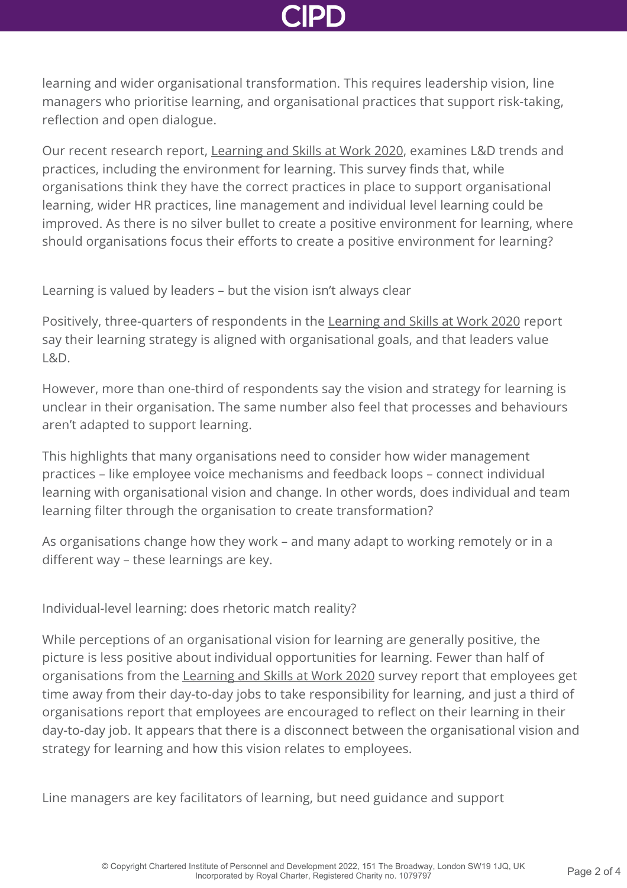learning and wider organisational transformation. This requires leadership vision, line managers who prioritise learning, and organisational practices that support risk-taking, reflection and open dialogue.

Our recent research report, [Learning and Skills at Work 2020,](http://www.cipd.co.uk/knowledge/strategy/development/learning-skills-work/) examines L&D trends and practices, including the environment for learning. This survey finds that, while organisations think they have the correct practices in place to support organisational learning, wider HR practices, line management and individual level learning could be improved. As there is no silver bullet to create a positive environment for learning, where should organisations focus their efforts to create a positive environment for learning?

Learning is valued by leaders – but the vision isn't always clear

Positively, three-quarters of respondents in the [Learning and Skills at Work 2020](http://www.cipd.co.uk/knowledge/strategy/development/learning-skills-work/) report say their learning strategy is aligned with organisational goals, and that leaders value L&D.

However, more than one-third of respondents say the vision and strategy for learning is unclear in their organisation. The same number also feel that processes and behaviours aren't adapted to support learning.

This highlights that many organisations need to consider how wider management practices – like employee voice mechanisms and feedback loops – connect individual learning with organisational vision and change. In other words, does individual and team learning filter through the organisation to create transformation?

As organisations change how they work – and many adapt to working remotely or in a different way – these learnings are key.

Individual-level learning: does rhetoric match reality?

While perceptions of an organisational vision for learning are generally positive, the picture is less positive about individual opportunities for learning. Fewer than half of organisations from the [Learning and Skills at Work 2020](http://www.cipd.co.uk/knowledge/strategy/development/learning-skills-work/) survey report that employees get time away from their day-to-day jobs to take responsibility for learning, and just a third of organisations report that employees are encouraged to reflect on their learning in their day-to-day job. It appears that there is a disconnect between the organisational vision and strategy for learning and how this vision relates to employees.

Line managers are key facilitators of learning, but need guidance and support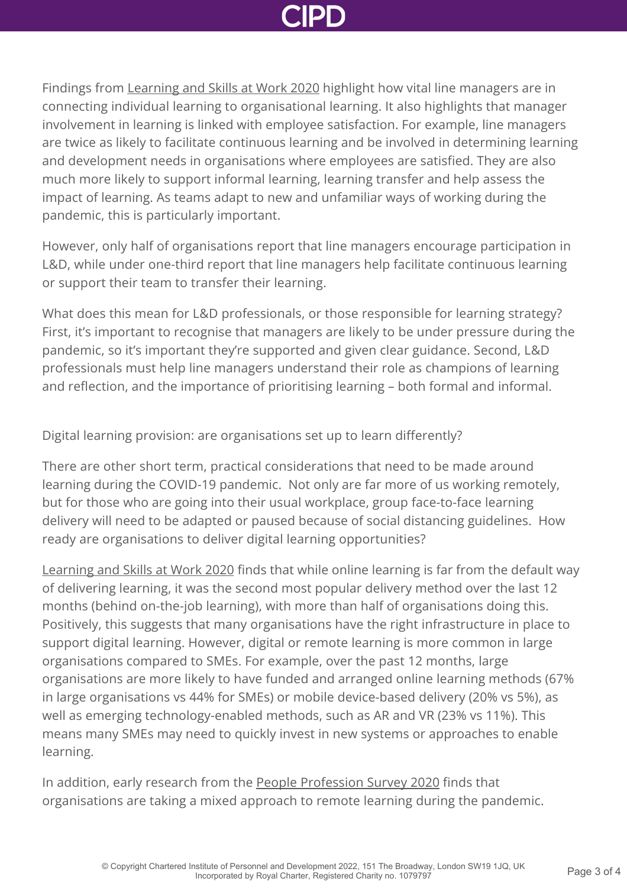

Findings from [Learning and Skills at Work 2020](http://www.cipd.co.uk/knowledge/strategy/development/learning-skills-work/) highlight how vital line managers are in connecting individual learning to organisational learning. It also highlights that manager involvement in learning is linked with employee satisfaction. For example, line managers are twice as likely to facilitate continuous learning and be involved in determining learning and development needs in organisations where employees are satisfied. They are also much more likely to support informal learning, learning transfer and help assess the impact of learning. As teams adapt to new and unfamiliar ways of working during the pandemic, this is particularly important.

However, only half of organisations report that line managers encourage participation in L&D, while under one-third report that line managers help facilitate continuous learning or support their team to transfer their learning.

What does this mean for L&D professionals, or those responsible for learning strategy? First, it's important to recognise that managers are likely to be under pressure during the pandemic, so it's important they're supported and given clear guidance. Second, L&D professionals must help line managers understand their role as champions of learning and reflection, and the importance of prioritising learning – both formal and informal.

Digital learning provision: are organisations set up to learn differently?

There are other short term, practical considerations that need to be made around learning during the COVID-19 pandemic. Not only are far more of us working remotely, but for those who are going into their usual workplace, group face-to-face learning delivery will need to be adapted or paused because of social distancing guidelines. How ready are organisations to deliver digital learning opportunities?

[Learning and Skills at Work 2020](http://www.cipd.co.uk/knowledge/strategy/development/learning-skills-work/) finds that while online learning is far from the default way of delivering learning, it was the second most popular delivery method over the last 12 months (behind on-the-job learning), with more than half of organisations doing this. Positively, this suggests that many organisations have the right infrastructure in place to support digital learning. However, digital or remote learning is more common in large organisations compared to SMEs. For example, over the past 12 months, large organisations are more likely to have funded and arranged online learning methods (67% in large organisations vs 44% for SMEs) or mobile device-based delivery (20% vs 5%), as well as emerging technology-enabled methods, such as AR and VR (23% vs 11%). This means many SMEs may need to quickly invest in new systems or approaches to enable learning.

In addition, early research from the [People Profession Survey 2020](http://www.cipd.co.uk/knowledge/strategy/hr/people-profession-survey/) finds that organisations are taking a mixed approach to remote learning during the pandemic.